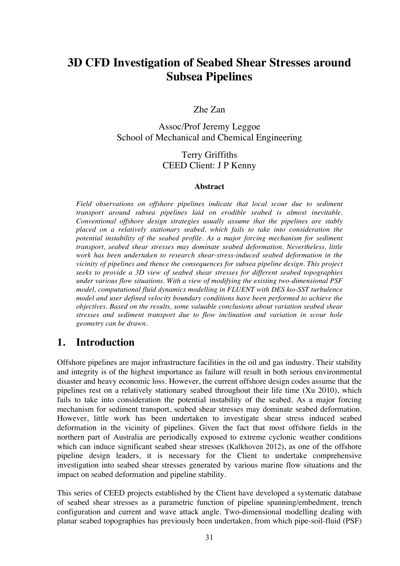# **3D CFD Investigation of Seabed Shear Stresses around Subsea Pipelines**

#### Zhe Zan

Assoc/Prof Jeremy Leggoe School of Mechanical and Chemical Engineering

### Terry Griffiths CEED Client: J P Kenny

#### **Abstract**

*Field observations on offshore pipelines indicate that local scour due to sediment transport around subsea pipelines laid on erodible seabed is almost inevitable. Conventional offshore design strategies usually assume that the pipelines are stably placed on a relatively stationary seabed, which fails to take into consideration the potential instability of the seabed profile. As a major forcing mechanism for sediment transport, seabed shear stresses may dominate seabed deformation. Nevertheless, little work has been undertaken to research shear-stress-induced seabed deformation in the vicinity of pipelines and thence the consequences for subsea pipeline design. This project seeks to provide a 3D view of seabed shear stresses for different seabed topographies under various flow situations. With a view of modifying the existing two-dimensional PSF model, computational fluid dynamics modelling in FLUENT with DES kω-SST turbulence model and user defined velocity boundary conditions have been performed to achieve the objectives. Based on the results, some valuable conclusions about variation seabed shear stresses and sediment transport due to flow inclination and variation in scour hole geometry can be drawn.* 

### **1. Introduction**

Offshore pipelines are major infrastructure facilities in the oil and gas industry. Their stability and integrity is of the highest importance as failure will result in both serious environmental disaster and heavy economic loss. However, the current offshore design codes assume that the pipelines rest on a relatively stationary seabed throughout their life time (Xu 2010), which fails to take into consideration the potential instability of the seabed. As a major forcing mechanism for sediment transport, seabed shear stresses may dominate seabed deformation. However, little work has been undertaken to investigate shear stress induced seabed deformation in the vicinity of pipelines. Given the fact that most offshore fields in the northern part of Australia are periodically exposed to extreme cyclonic weather conditions which can induce significant seabed shear stresses (Kalkhoven 2012), as one of the offshore pipeline design leaders, it is necessary for the Client to undertake comprehensive investigation into seabed shear stresses generated by various marine flow situations and the impact on seabed deformation and pipeline stability.

This series of CEED projects established by the Client have developed a systematic database of seabed shear stresses as a parametric function of pipeline spanning/embedment, trench configuration and current and wave attack angle. Two-dimensional modelling dealing with planar seabed topographies has previously been undertaken, from which pipe-soil-fluid (PSF)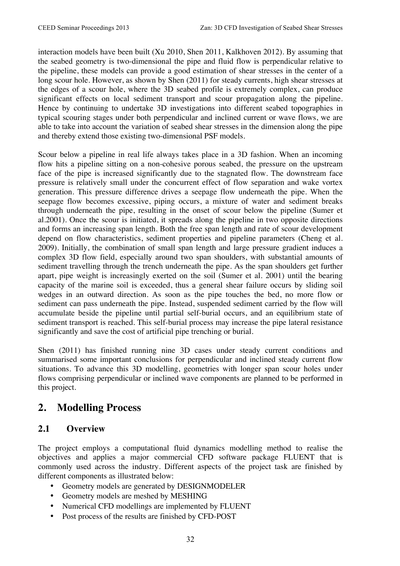interaction models have been built (Xu 2010, Shen 2011, Kalkhoven 2012). By assuming that the seabed geometry is two-dimensional the pipe and fluid flow is perpendicular relative to the pipeline, these models can provide a good estimation of shear stresses in the center of a long scour hole. However, as shown by Shen (2011) for steady currents, high shear stresses at the edges of a scour hole, where the 3D seabed profile is extremely complex, can produce significant effects on local sediment transport and scour propagation along the pipeline. Hence by continuing to undertake 3D investigations into different seabed topographies in typical scouring stages under both perpendicular and inclined current or wave flows, we are able to take into account the variation of seabed shear stresses in the dimension along the pipe and thereby extend those existing two-dimensional PSF models.

Scour below a pipeline in real life always takes place in a 3D fashion. When an incoming flow hits a pipeline sitting on a non-cohesive porous seabed, the pressure on the upstream face of the pipe is increased significantly due to the stagnated flow. The downstream face pressure is relatively small under the concurrent effect of flow separation and wake vortex generation. This pressure difference drives a seepage flow underneath the pipe. When the seepage flow becomes excessive, piping occurs, a mixture of water and sediment breaks through underneath the pipe, resulting in the onset of scour below the pipeline (Sumer et al.2001). Once the scour is initiated, it spreads along the pipeline in two opposite directions and forms an increasing span length. Both the free span length and rate of scour development depend on flow characteristics, sediment properties and pipeline parameters (Cheng et al. 2009). Initially, the combination of small span length and large pressure gradient induces a complex 3D flow field, especially around two span shoulders, with substantial amounts of sediment travelling through the trench underneath the pipe. As the span shoulders get further apart, pipe weight is increasingly exerted on the soil (Sumer et al. 2001) until the bearing capacity of the marine soil is exceeded, thus a general shear failure occurs by sliding soil wedges in an outward direction. As soon as the pipe touches the bed, no more flow or sediment can pass underneath the pipe. Instead, suspended sediment carried by the flow will accumulate beside the pipeline until partial self-burial occurs, and an equilibrium state of sediment transport is reached. This self-burial process may increase the pipe lateral resistance significantly and save the cost of artificial pipe trenching or burial.

Shen (2011) has finished running nine 3D cases under steady current conditions and summarised some important conclusions for perpendicular and inclined steady current flow situations. To advance this 3D modelling, geometries with longer span scour holes under flows comprising perpendicular or inclined wave components are planned to be performed in this project.

## **2. Modelling Process**

### **2.1 Overview**

The project employs a computational fluid dynamics modelling method to realise the objectives and applies a major commercial CFD software package FLUENT that is commonly used across the industry. Different aspects of the project task are finished by different components as illustrated below:

- Geometry models are generated by DESIGNMODELER
- Geometry models are meshed by MESHING
- Numerical CFD modellings are implemented by FLUENT
- Post process of the results are finished by CFD-POST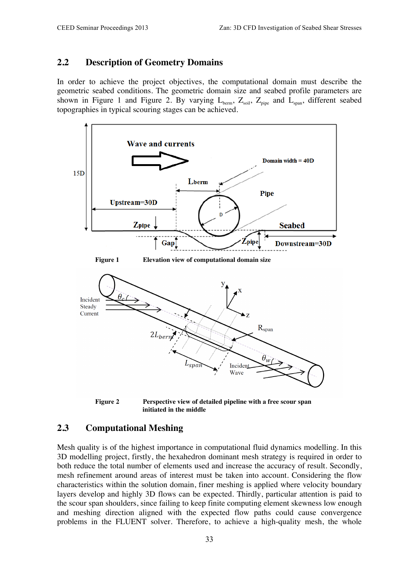#### **2.2 Description of Geometry Domains**

In order to achieve the project objectives, the computational domain must describe the geometric seabed conditions. The geometric domain size and seabed profile parameters are shown in Figure 1 and Figure 2. By varying  $L_{\text{berm}}$ ,  $Z_{\text{soil}}$ ,  $Z_{\text{pipe}}$  and  $L_{\text{span}}$ , different seabed topographies in typical scouring stages can be achieved.



**Figure 2 Perspective view of detailed pipeline with a free scour span initiated in the middle**

#### **2.3 Computational Meshing**

Mesh quality is of the highest importance in computational fluid dynamics modelling. In this 3D modelling project, firstly, the hexahedron dominant mesh strategy is required in order to both reduce the total number of elements used and increase the accuracy of result. Secondly, mesh refinement around areas of interest must be taken into account. Considering the flow characteristics within the solution domain, finer meshing is applied where velocity boundary layers develop and highly 3D flows can be expected. Thirdly, particular attention is paid to the scour span shoulders, since failing to keep finite computing element skewness low enough and meshing direction aligned with the expected flow paths could cause convergence problems in the FLUENT solver. Therefore, to achieve a high-quality mesh, the whole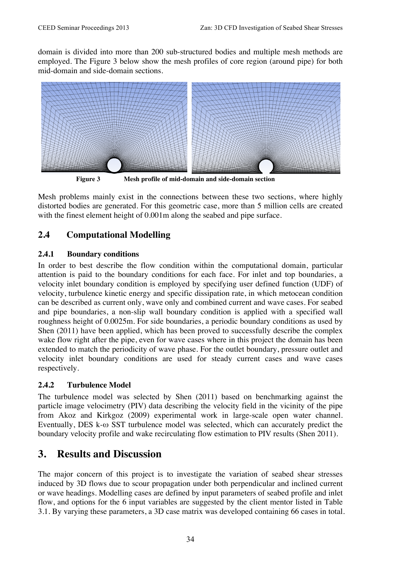domain is divided into more than 200 sub-structured bodies and multiple mesh methods are employed. The Figure 3 below show the mesh profiles of core region (around pipe) for both mid-domain and side-domain sections.



**Figure 3 Mesh profile of mid-domain and side-domain section**

Mesh problems mainly exist in the connections between these two sections, where highly distorted bodies are generated. For this geometric case, more than 5 million cells are created with the finest element height of 0.001m along the seabed and pipe surface.

### **2.4 Computational Modelling**

#### **2.4.1 Boundary conditions**

In order to best describe the flow condition within the computational domain, particular attention is paid to the boundary conditions for each face. For inlet and top boundaries, a velocity inlet boundary condition is employed by specifying user defined function (UDF) of velocity, turbulence kinetic energy and specific dissipation rate, in which metocean condition can be described as current only, wave only and combined current and wave cases. For seabed and pipe boundaries, a non-slip wall boundary condition is applied with a specified wall roughness height of 0.0025m. For side boundaries, a periodic boundary conditions as used by Shen (2011) have been applied, which has been proved to successfully describe the complex wake flow right after the pipe, even for wave cases where in this project the domain has been extended to match the periodicity of wave phase. For the outlet boundary, pressure outlet and velocity inlet boundary conditions are used for steady current cases and wave cases respectively.

#### **2.4.2 Turbulence Model**

The turbulence model was selected by Shen (2011) based on benchmarking against the particle image velocimetry (PIV) data describing the velocity field in the vicinity of the pipe from Akoz and Kirkgoz (2009) experimental work in large-scale open water channel. Eventually, DES k-ω SST turbulence model was selected, which can accurately predict the boundary velocity profile and wake recirculating flow estimation to PIV results (Shen 2011).

## **3. Results and Discussion**

The major concern of this project is to investigate the variation of seabed shear stresses induced by 3D flows due to scour propagation under both perpendicular and inclined current or wave headings. Modelling cases are defined by input parameters of seabed profile and inlet flow, and options for the 6 input variables are suggested by the client mentor listed in Table 3.1. By varying these parameters, a 3D case matrix was developed containing 66 cases in total.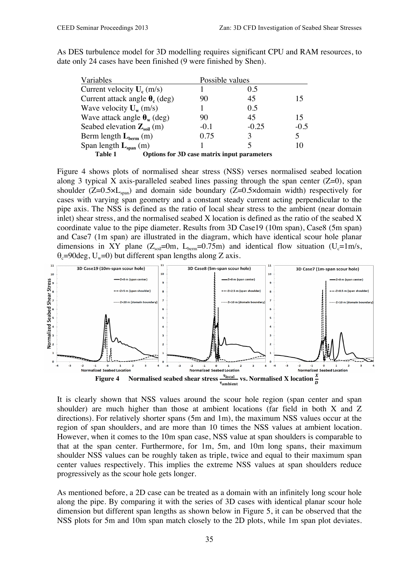| Variables                                     |                                                    | Possible values |        |
|-----------------------------------------------|----------------------------------------------------|-----------------|--------|
| Current velocity $U_c$ (m/s)                  |                                                    | 0.5             |        |
| Current attack angle $\theta_c$ (deg)         | 90                                                 | 45              | 15     |
| Wave velocity $U_w$ (m/s)                     |                                                    | 0.5             |        |
| Wave attack angle $\theta_w$ (deg)            | 90                                                 | 45              | 15     |
| Seabed elevation $\mathbf{Z}_{\text{sol}}(m)$ | $-0.1$                                             | $-0.25$         | $-0.5$ |
| Berm length $L_{\text{berm}}$ (m)             | 0.75                                               | 3               |        |
| Span length $L_{span}(m)$                     |                                                    |                 | 10     |
| Table 1                                       | <b>Options for 3D case matrix input parameters</b> |                 |        |

As DES turbulence model for 3D modelling requires significant CPU and RAM resources, to date only 24 cases have been finished (9 were finished by Shen).

Figure 4 shows plots of normalised shear stress (NSS) verses normalised seabed location along 3 typical X axis-paralleled seabed lines passing through the span center  $(Z=0)$ , span shoulder ( $Z=0.5\times L_{\text{span}}$ ) and domain side boundary ( $Z=0.5\times$ domain width) respectively for cases with varying span geometry and a constant steady current acting perpendicular to the pipe axis. The NSS is defined as the ratio of local shear stress to the ambient (near domain inlet) shear stress, and the normalised seabed X location is defined as the ratio of the seabed X coordinate value to the pipe diameter. Results from 3D Case19 (10m span), Case8 (5m span) and Case7 (1m span) are illustrated in the diagram, which have identical scour hole planar dimensions in XY plane  $(Z_{\text{coll}}=0m, L_{\text{beam}}=0.75m)$  and identical flow situation  $(U_{c}=1m/s,$  $\theta_c$ =90deg, U<sub>w</sub>=0) but different span lengths along Z axis.



It is clearly shown that NSS values around the scour hole region (span center and span shoulder) are much higher than those at ambient locations (far field in both X and Z directions). For relatively shorter spans (5m and 1m), the maximum NSS values occur at the region of span shoulders, and are more than 10 times the NSS values at ambient location. However, when it comes to the 10m span case, NSS value at span shoulders is comparable to that at the span center. Furthermore, for 1m, 5m, and 10m long spans, their maximum shoulder NSS values can be roughly taken as triple, twice and equal to their maximum span center values respectively. This implies the extreme NSS values at span shoulders reduce progressively as the scour hole gets longer.

As mentioned before, a 2D case can be treated as a domain with an infinitely long scour hole along the pipe. By comparing it with the series of 3D cases with identical planar scour hole dimension but different span lengths as shown below in Figure 5, it can be observed that the NSS plots for 5m and 10m span match closely to the 2D plots, while 1m span plot deviates.